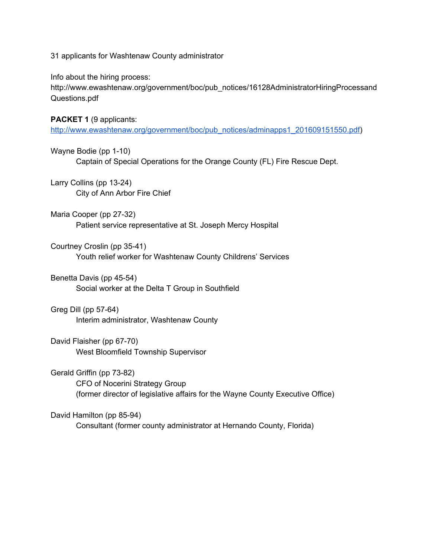31 applicants for Washtenaw County administrator

Info about the hiring process:

http://www.ewashtenaw.org/government/boc/pub\_notices/16128AdministratorHiringProcessand Questions.pdf

**PACKET 1** (9 applicants:

[http://www.ewashtenaw.org/government/boc/pub\\_notices/adminapps1\\_201609151550.pdf\)](http://www.ewashtenaw.org/government/boc/pub_notices/adminapps1_201609151550.pdf)

Wayne Bodie (pp 1-10) Captain of Special Operations for the Orange County (FL) Fire Rescue Dept.

Larry Collins (pp 13-24) City of Ann Arbor Fire Chief

Maria Cooper (pp 27-32) Patient service representative at St. Joseph Mercy Hospital

Courtney Croslin (pp 35-41) Youth relief worker for Washtenaw County Childrens' Services

Benetta Davis (pp 45-54) Social worker at the Delta T Group in Southfield

Greg Dill (pp 57-64) Interim administrator, Washtenaw County

David Flaisher (pp 67-70) West Bloomfield Township Supervisor

Gerald Griffin (pp 73-82) CFO of Nocerini Strategy Group (former director of legislative affairs for the Wayne County Executive Office)

David Hamilton (pp 85-94) Consultant (former county administrator at Hernando County, Florida)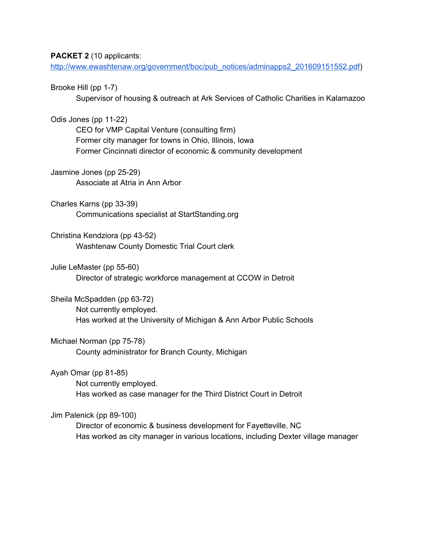## **PACKET 2** (10 applicants:

[http://www.ewashtenaw.org/government/boc/pub\\_notices/adminapps2\\_201609151552.pdf\)](http://www.ewashtenaw.org/government/boc/pub_notices/adminapps2_201609151552.pdf)

Brooke Hill (pp 1-7)

Supervisor of housing & outreach at Ark Services of Catholic Charities in Kalamazoo

Odis Jones (pp 11-22)

CEO for VMP Capital Venture (consulting firm) Former city manager for towns in Ohio, Illinois, Iowa Former Cincinnati director of economic & community development

Jasmine Jones (pp 25-29) Associate at Atria in Ann Arbor

Charles Karns (pp 33-39) Communications specialist at StartStanding.org

Christina Kendziora (pp 43-52) Washtenaw County Domestic Trial Court clerk

Julie LeMaster (pp 55-60) Director of strategic workforce management at CCOW in Detroit

Sheila McSpadden (pp 63-72) Not currently employed. Has worked at the University of Michigan & Ann Arbor Public Schools

Michael Norman (pp 75-78) County administrator for Branch County, Michigan

Ayah Omar (pp  $81-85$ )

Not currently employed. Has worked as case manager for the Third District Court in Detroit

Jim Palenick (pp 89-100)

Director of economic & business development for Fayetteville, NC Has worked as city manager in various locations, including Dexter village manager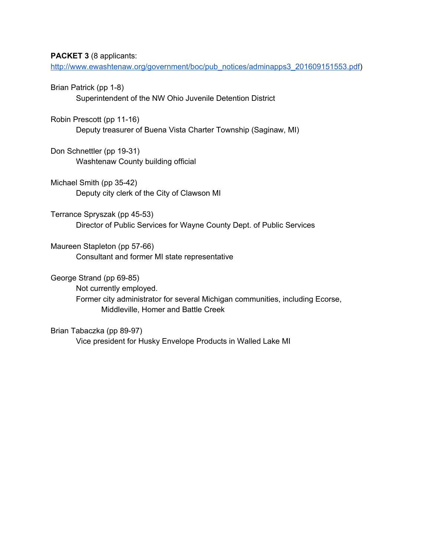## **PACKET 3** (8 applicants:

[http://www.ewashtenaw.org/government/boc/pub\\_notices/adminapps3\\_201609151553.pdf\)](http://www.ewashtenaw.org/government/boc/pub_notices/adminapps3_201609151553.pdf)

Brian Patrick (pp 1-8)

Superintendent of the NW Ohio Juvenile Detention District

Robin Prescott (pp 11-16)

Deputy treasurer of Buena Vista Charter Township (Saginaw, MI)

Don Schnettler (pp 19-31) Washtenaw County building official

Michael Smith (pp 35-42) Deputy city clerk of the City of Clawson MI

Terrance Spryszak (pp 45-53) Director of Public Services for Wayne County Dept. of Public Services

Maureen Stapleton (pp 57-66) Consultant and former MI state representative

George Strand (pp 69-85)

Not currently employed. Former city administrator for several Michigan communities, including Ecorse, Middleville, Homer and Battle Creek

Brian Tabaczka (pp 89-97)

Vice president for Husky Envelope Products in Walled Lake MI